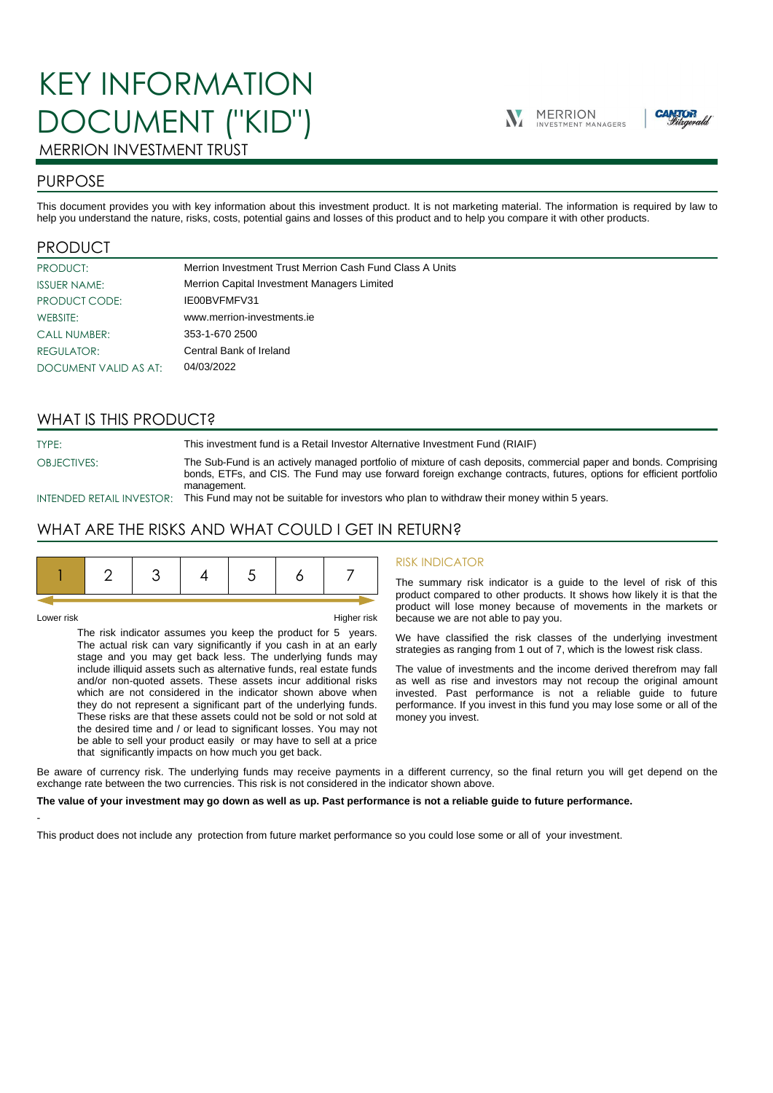# KEY INFORMATION DOCUMENT ("KID")





## MERRION INVESTMENT TRUST

## PURPOSE

This document provides you with key information about this investment product. It is not marketing material. The information is required by law to help you understand the nature, risks, costs, potential gains and losses of this product and to help you compare it with other products.

## PRODUCT

| PRODUCT:              | Merrion Investment Trust Merrion Cash Fund Class A Units |
|-----------------------|----------------------------------------------------------|
| <b>ISSUER NAME:</b>   | Merrion Capital Investment Managers Limited              |
| PRODUCT CODE:         | IE00BVFMFV31                                             |
| WEBSITE:              | www.merrion-investments.ie                               |
| <b>CALL NUMBER:</b>   | 353-1-670 2500                                           |
| <b>REGULATOR:</b>     | Central Bank of Ireland                                  |
| DOCUMENT VALID AS AT: | 04/03/2022                                               |

## WHAT IS THIS PRODUCT?

TYPE: This investment fund is a Retail Investor Alternative Investment Fund (RIAIF) OBJECTIVES: The Sub-Fund is an actively managed portfolio of mixture of cash deposits, commercial paper and bonds. Comprising bonds, ETFs, and CIS. The Fund may use forward foreign exchange contracts, futures, options for efficient portfolio management.

INTENDED RETAIL INVESTOR: This Fund may not be suitable for investors who plan to withdraw their money within 5 years.

## WHAT ARE THE RISKS AND WHAT COULD I GET IN RETURN?

-

Lower risk Higher risk

The risk indicator assumes you keep the product for 5 years. The actual risk can vary significantly if you cash in at an early stage and you may get back less. The underlying funds may include illiquid assets such as alternative funds, real estate funds and/or non-quoted assets. These assets incur additional risks which are not considered in the indicator shown above when they do not represent a significant part of the underlying funds. These risks are that these assets could not be sold or not sold at the desired time and / or lead to significant losses. You may not be able to sell your product easily or may have to sell at a price that significantly impacts on how much you get back.

#### RISK INDICATOR

The summary risk indicator is a guide to the level of risk of this product compared to other products. It shows how likely it is that the product will lose money because of movements in the markets or because we are not able to pay you.

We have classified the risk classes of the underlying investment strategies as ranging from 1 out of 7, which is the lowest risk class.

The value of investments and the income derived therefrom may fall as well as rise and investors may not recoup the original amount invested. Past performance is not a reliable guide to future performance. If you invest in this fund you may lose some or all of the money you invest.

Be aware of currency risk. The underlying funds may receive payments in a different currency, so the final return you will get depend on the exchange rate between the two currencies. This risk is not considered in the indicator shown above.

#### **The value of your investment may go down as well as up. Past performance is not a reliable guide to future performance.**

This product does not include any protection from future market performance so you could lose some or all of your investment.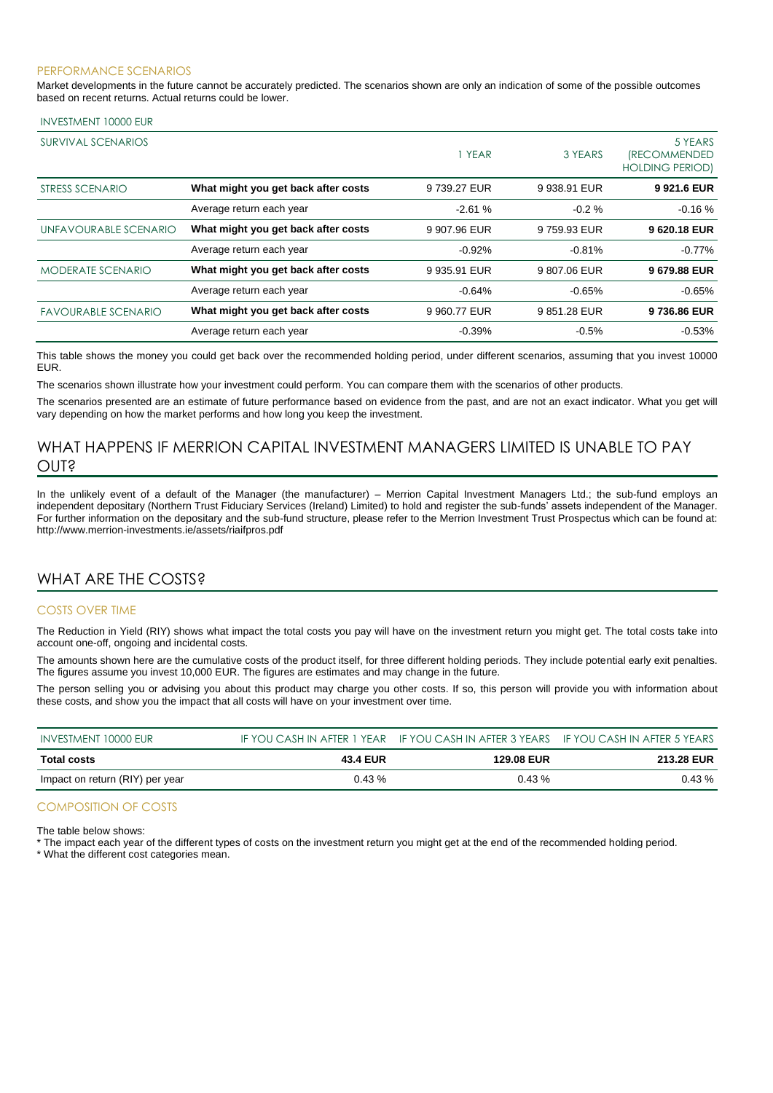#### PERFORMANCE SCENARIOS

Market developments in the future cannot be accurately predicted. The scenarios shown are only an indication of some of the possible outcomes based on recent returns. Actual returns could be lower.

#### INVESTMENT 10000 EUR

| <b>SURVIVAL SCENARIOS</b>  |                                     | 1 YEAR       | 3 YEARS      | 5 YEARS<br><i><b>(RECOMMENDED</b></i><br><b>HOLDING PERIOD)</b> |
|----------------------------|-------------------------------------|--------------|--------------|-----------------------------------------------------------------|
| STRESS SCENARIO            | What might you get back after costs | 9739.27 EUR  | 9 938.91 EUR | 9921.6 EUR                                                      |
|                            | Average return each year            | $-2.61%$     | $-0.2 \%$    | $-0.16%$                                                        |
| UNFAVOURABLE SCENARIO      | What might you get back after costs | 9 907.96 EUR | 9759.93 EUR  | 9620.18 EUR                                                     |
|                            | Average return each year            | $-0.92%$     | $-0.81%$     | $-0.77%$                                                        |
| <b>MODERATE SCENARIO</b>   | What might you get back after costs | 9 935.91 EUR | 9807.06 EUR  | 9679.88 EUR                                                     |
|                            | Average return each year            | $-0.64%$     | $-0.65%$     | $-0.65%$                                                        |
| <b>FAVOURABLE SCENARIO</b> | What might you get back after costs | 9 960.77 EUR | 9851.28 EUR  | 9736.86 EUR                                                     |
|                            | Average return each year            | $-0.39%$     | $-0.5%$      | $-0.53%$                                                        |

This table shows the money you could get back over the recommended holding period, under different scenarios, assuming that you invest 10000 EUR.

The scenarios shown illustrate how your investment could perform. You can compare them with the scenarios of other products.

The scenarios presented are an estimate of future performance based on evidence from the past, and are not an exact indicator. What you get will vary depending on how the market performs and how long you keep the investment.

## WHAT HAPPENS IF MERRION CAPITAL INVESTMENT MANAGERS LIMITED IS UNABLE TO PAY OUT?

In the unlikely event of a default of the Manager (the manufacturer) – Merrion Capital Investment Managers Ltd.; the sub-fund employs an independent depositary (Northern Trust Fiduciary Services (Ireland) Limited) to hold and register the sub-funds' assets independent of the Manager. For further information on the depositary and the sub-fund structure, please refer to the Merrion Investment Trust Prospectus which can be found at: http://www.merrion-investments.ie/assets/riaifpros.pdf

## WHAT ARE THE COSTS?

#### COSTS OVER TIME

The Reduction in Yield (RIY) shows what impact the total costs you pay will have on the investment return you might get. The total costs take into account one-off, ongoing and incidental costs.

The amounts shown here are the cumulative costs of the product itself, for three different holding periods. They include potential early exit penalties. The figures assume you invest 10,000 EUR. The figures are estimates and may change in the future.

The person selling you or advising you about this product may charge you other costs. If so, this person will provide you with information about these costs, and show you the impact that all costs will have on your investment over time.

| INVESTMENT 10000 EUR            |                 | IF YOU CASH IN AFTER 1 YEAR IF YOU CASH IN AFTER 3 YEARS IF YOU CASH IN AFTER 5 YEARS |            |
|---------------------------------|-----------------|---------------------------------------------------------------------------------------|------------|
| Total costs                     | <b>43.4 EUR</b> | <b>129.08 EUR</b>                                                                     | 213.28 EUR |
| Impact on return (RIY) per year | $0.43\%$        | $0.43\%$                                                                              | $0.43\%$   |

### COMPOSITION OF COSTS

The table below shows:

\* The impact each year of the different types of costs on the investment return you might get at the end of the recommended holding period.

\* What the different cost categories mean.